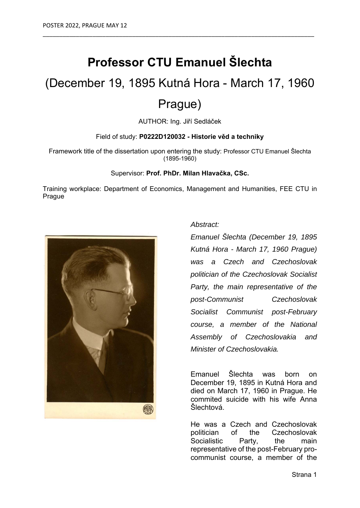## **Professor CTU Emanuel Šlechta**

\_\_\_\_\_\_\_\_\_\_\_\_\_\_\_\_\_\_\_\_\_\_\_\_\_\_\_\_\_\_\_\_\_\_\_\_\_\_\_\_\_\_\_\_\_\_\_\_\_\_\_\_\_\_\_\_\_\_\_\_\_\_\_\_\_\_\_\_\_\_\_\_\_\_\_\_\_\_\_\_\_\_

# (December 19, 1895 Kutná Hora - March 17, 1960

### Prague)

AUTHOR: Ing. Jiří Sedláček

#### Field of study: **P0222D120032 - Historie věd a techniky**

Framework title of the dissertation upon entering the study: Professor CTU Emanuel Šlechta (1895-1960)

#### Supervisor: **Prof. PhDr. Milan Hlavačka, CSc.**

Training workplace: Department of Economics, Management and Humanities, FEE CTU in Prague



#### *Abstract:*

*Emanuel Šlechta (December 19, 1895 Kutná Hora - March 17, 1960 Prague) was a Czech and Czechoslovak politician of the Czechoslovak Socialist Party, the main representative of the post-Communist Czechoslovak Socialist Communist post-February course, a member of the National Assembly of Czechoslovakia and Minister of Czechoslovakia.* 

Emanuel Šlechta was born on December 19, 1895 in Kutná Hora and died on March 17, 1960 in Prague. He commited suicide with his wife Anna Šlechtová.

He was a Czech and Czechoslovak politician of the Czechoslovak Socialistic Party, the main representative of the post-February procommunist course, a member of the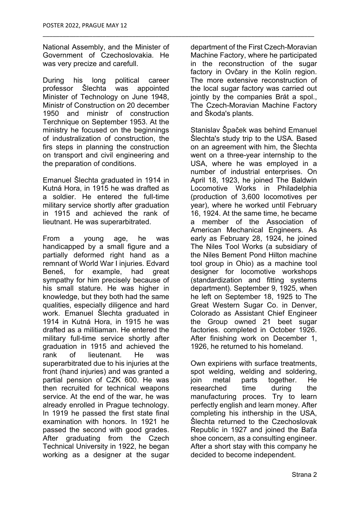National Assembly, and the Minister of Government of Czechoslovakia. He was very precize and carefull.

\_\_\_\_\_\_\_\_\_\_\_\_\_\_\_\_\_\_\_\_\_\_\_\_\_\_\_\_\_\_\_\_\_\_\_\_\_\_\_\_\_\_\_\_\_\_\_\_\_\_\_\_\_\_\_\_\_\_\_\_\_\_\_\_\_\_\_\_\_\_\_\_\_\_\_\_\_\_\_\_\_\_

During his long political career professor Šlechta was appointed Minister of Technology on June 1948, Ministr of Construction on 20 december 1950 and ministr of construction Terchnique on September 1953. At the ministry he focused on the beginnings of industralization of construction, the firs steps in planning the construction on transport and civil engineering and the preparation of conditions.

Emanuel Šlechta graduated in 1914 in Kutná Hora, in 1915 he was drafted as a soldier. He entered the full-time military service shortly after graduation in 1915 and achieved the rank of lieutnant. He was superarbitrated.

From a young age, he was handicapped by a small figure and a partially deformed right hand as a remnant of World War I injuries. Edvard Beneš, for example, had great sympathy for him precisely because of his small stature. He was higher in knowledge, but they both had the same qualities, especially diligence and hard work. Emanuel Šlechta graduated in 1914 in Kutná Hora, in 1915 he was drafted as a militiaman. He entered the military full-time service shortly after graduation in 1915 and achieved the rank of lieutenant. He was superarbitrated due to his injuries at the front (hand injuries) and was granted a partial pension of CZK 600. He was then recruited for technical weapons service. At the end of the war, he was already enrolled in Prague technology. In 1919 he passed the first state final examination with honors. In 1921 he passed the second with good grades. After graduating from the Czech Technical University in 1922, he began working as a designer at the sugar

department of the First Czech-Moravian Machine Factory, where he participated in the reconstruction of the sugar factory in Ovčary in the Kolín region. The more extensive reconstruction of the local sugar factory was carried out jointly by the companies Brát a spol., The Czech-Moravian Machine Factory and Škoda's plants.

Stanislav Špaček was behind Emanuel Šlechta's study trip to the USA. Based on an agreement with him, the Šlechta went on a three-year internship to the USA, where he was employed in a number of industrial enterprises. On April 18, 1923, he joined The Baldwin Locomotive Works in Philadelphia (production of 3,600 locomotives per year), where he worked until February 16, 1924. At the same time, he became a member of the Association of American Mechanical Engineers. As early as February 28, 1924, he joined The Niles Tool Works (a subsidiary of the Niles Bement Pond Hilton machine tool group in Ohio) as a machine tool designer for locomotive workshops (standardization and fitting systems department). September 9, 1925, when he left on September 18, 1925 to The Great Western Sugar Co. in Denver, Colorado as Assistant Chief Engineer the Group owned 21 beet sugar factories. completed in October 1926. After finishing work on December 1, 1926, he returned to his homeland.

Own expiriens with surface treatments, spot welding, welding and soldering, join metal parts together. He researched time during the manufacturing proces. Try to learn perfectly english and learn money. After completing his inthership in the USA, Šlechta returned to the Czechoslovak Republic in 1927 and joined the Baťa shoe concern, as a consulting engineer. After a short stay with this company he decided to become independent.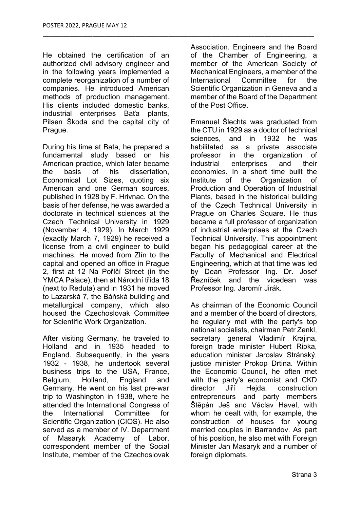He obtained the certification of an authorized civil advisory engineer and in the following years implemented a complete reorganization of a number of companies. He introduced American methods of production management. His clients included domestic banks, industrial enterprises Baťa plants, Pilsen Škoda and the capital city of Prague.

\_\_\_\_\_\_\_\_\_\_\_\_\_\_\_\_\_\_\_\_\_\_\_\_\_\_\_\_\_\_\_\_\_\_\_\_\_\_\_\_\_\_\_\_\_\_\_\_\_\_\_\_\_\_\_\_\_\_\_\_\_\_\_\_\_\_\_\_\_\_\_\_\_\_\_\_\_\_\_\_\_\_

During his time at Bata, he prepared a fundamental study based on his American practice, which later became the basis of his dissertation, Economical Lot Sizes, quoting six American and one German sources, published in 1928 by F. Hrivnac. On the basis of her defense, he was awarded a doctorate in technical sciences at the Czech Technical University in 1929 (November 4, 1929). In March 1929 (exactly March 7, 1929) he received a license from a civil engineer to build machines. He moved from Zlín to the capital and opened an office in Prague 2, first at 12 Na Poříčí Street (in the YMCA Palace), then at Národní třída 18 (next to Reduta) and in 1931 he moved to Lazarská 7, the Báňská building and metallurgical company, which also housed the Czechoslovak Committee for Scientific Work Organization.

After visiting Germany, he traveled to Holland and in 1935 headed to England. Subsequently, in the years 1932 - 1938, he undertook several business trips to the USA, France, Belgium, Holland, England and Germany. He went on his last pre-war trip to Washington in 1938, where he attended the International Congress of the International Committee for Scientific Organization (CIOS). He also served as a member of IV. Department of Masaryk Academy of Labor, correspondent member of the Social Institute, member of the Czechoslovak

Association. Engineers and the Board of the Chamber of Engineering, a member of the American Society of Mechanical Engineers, a member of the International Committee for the Scientific Organization in Geneva and a member of the Board of the Department of the Post Office.

Emanuel Šlechta was graduated from the CTU in 1929 as a doctor of technical sciences, and in 1932 he was habilitated as a private associate professor in the organization of industrial enterprises and their economies. In a short time built the Institute of the Organization of Production and Operation of Industrial Plants, based in the historical building of the Czech Technical University in Prague on Charles Square. He thus became a full professor of organization of industrial enterprises at the Czech Technical University. This appointment began his pedagogical career at the Faculty of Mechanical and Electrical Engineering, which at that time was led by Dean Professor Ing. Dr. Josef Řezníček and the vicedean was Professor Ing. Jaromír Jirák.

As chairman of the Economic Council and a member of the board of directors, he regularly met with the party's top national socialists, chairman Petr Zenkl, secretary general Vladimír Krajina, foreign trade minister Hubert Ripka, education minister Jaroslav Stránský, justice minister Prokop Drtina. Within the Economic Council, he often met with the party's economist and CKD director Jiří Hejda, construction entrepreneurs and party members Štěpán Ješ and Václav Havel, with whom he dealt with, for example, the construction of houses for young married couples in Barrandov. As part of his position, he also met with Foreign Minister Jan Masaryk and a number of foreign diplomats.